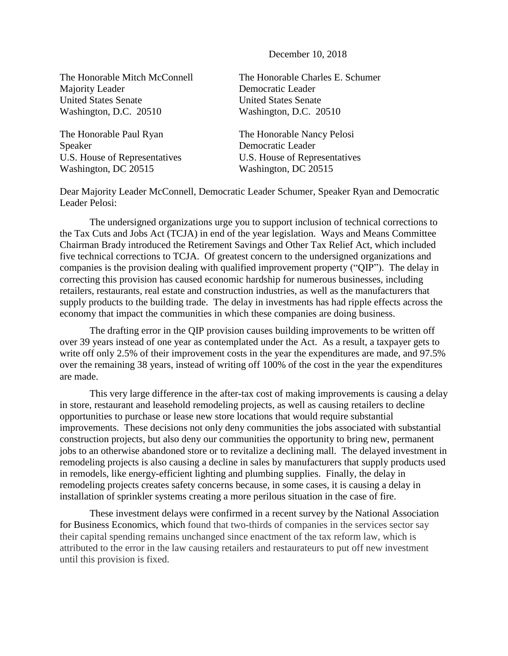December 10, 2018

Majority Leader **Democratic Leader** United States Senate United States Senate Washington, D.C. 20510 Washington, D.C. 20510

The Honorable Paul Ryan The Honorable Nancy Pelosi Speaker Democratic Leader U.S. House of Representatives U.S. House of Representatives Washington, DC 20515 Washington, DC 20515

The Honorable Mitch McConnell The Honorable Charles E. Schumer

Dear Majority Leader McConnell, Democratic Leader Schumer, Speaker Ryan and Democratic Leader Pelosi:

The undersigned organizations urge you to support inclusion of technical corrections to the Tax Cuts and Jobs Act (TCJA) in end of the year legislation. Ways and Means Committee Chairman Brady introduced the Retirement Savings and Other Tax Relief Act, which included five technical corrections to TCJA. Of greatest concern to the undersigned organizations and companies is the provision dealing with qualified improvement property ("QIP"). The delay in correcting this provision has caused economic hardship for numerous businesses, including retailers, restaurants, real estate and construction industries, as well as the manufacturers that supply products to the building trade. The delay in investments has had ripple effects across the economy that impact the communities in which these companies are doing business.

The drafting error in the QIP provision causes building improvements to be written off over 39 years instead of one year as contemplated under the Act. As a result, a taxpayer gets to write off only 2.5% of their improvement costs in the year the expenditures are made, and 97.5% over the remaining 38 years, instead of writing off 100% of the cost in the year the expenditures are made.

This very large difference in the after-tax cost of making improvements is causing a delay in store, restaurant and leasehold remodeling projects, as well as causing retailers to decline opportunities to purchase or lease new store locations that would require substantial improvements. These decisions not only deny communities the jobs associated with substantial construction projects, but also deny our communities the opportunity to bring new, permanent jobs to an otherwise abandoned store or to revitalize a declining mall. The delayed investment in remodeling projects is also causing a decline in sales by manufacturers that supply products used in remodels, like energy-efficient lighting and plumbing supplies. Finally, the delay in remodeling projects creates safety concerns because, in some cases, it is causing a delay in installation of sprinkler systems creating a more perilous situation in the case of fire.

These investment delays were confirmed in a recent survey by the National Association for Business Economics, which found that two-thirds of companies in the services sector say their capital spending remains unchanged since enactment of the tax reform law, which is attributed to the error in the law causing retailers and restaurateurs to put off new investment until this provision is fixed.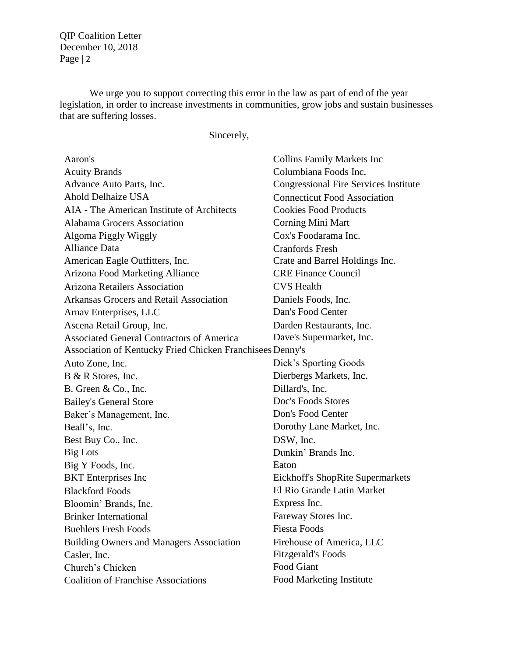We urge you to support correcting this error in the law as part of end of the year legislation, in order to increase investments in communities, grow jobs and sustain businesses that are suffering losses.

Sincerely,

| Aaron's                                                   | <b>Collins Family Markets Inc</b>            |
|-----------------------------------------------------------|----------------------------------------------|
| <b>Acuity Brands</b>                                      | Columbiana Foods Inc.                        |
| Advance Auto Parts, Inc.                                  | <b>Congressional Fire Services Institute</b> |
| <b>Ahold Delhaize USA</b>                                 | <b>Connecticut Food Association</b>          |
| AIA - The American Institute of Architects                | <b>Cookies Food Products</b>                 |
| Alabama Grocers Association                               | Corning Mini Mart                            |
| Algoma Piggly Wiggly                                      | Cox's Foodarama Inc.                         |
| <b>Alliance Data</b>                                      | <b>Cranfords Fresh</b>                       |
| American Eagle Outfitters, Inc.                           | Crate and Barrel Holdings Inc.               |
| Arizona Food Marketing Alliance                           | <b>CRE Finance Council</b>                   |
| <b>Arizona Retailers Association</b>                      | <b>CVS</b> Health                            |
| Arkansas Grocers and Retail Association                   | Daniels Foods, Inc.                          |
| Arnav Enterprises, LLC                                    | Dan's Food Center                            |
| Ascena Retail Group, Inc.                                 | Darden Restaurants, Inc.                     |
| <b>Associated General Contractors of America</b>          | Dave's Supermarket, Inc.                     |
| Association of Kentucky Fried Chicken Franchisees Denny's |                                              |
| Auto Zone, Inc.                                           | Dick's Sporting Goods                        |
| B & R Stores, Inc.                                        | Dierbergs Markets, Inc.                      |
| B. Green & Co., Inc.                                      | Dillard's, Inc.                              |
| <b>Bailey's General Store</b>                             | Doc's Foods Stores                           |
| Baker's Management, Inc.                                  | Don's Food Center                            |
| Beall's, Inc.                                             | Dorothy Lane Market, Inc.                    |
| Best Buy Co., Inc.                                        | DSW, Inc.                                    |
| <b>Big Lots</b>                                           | Dunkin' Brands Inc.                          |
| Big Y Foods, Inc.                                         | Eaton                                        |
| <b>BKT</b> Enterprises Inc                                | Eickhoff's ShopRite Supermarkets             |
| <b>Blackford Foods</b>                                    | El Rio Grande Latin Market                   |
| Bloomin' Brands, Inc.                                     | Express Inc.                                 |
| <b>Brinker International</b>                              | Fareway Stores Inc.                          |
| <b>Buehlers Fresh Foods</b>                               | <b>Fiesta Foods</b>                          |
| <b>Building Owners and Managers Association</b>           | Firehouse of America, LLC                    |
| Casler, Inc.                                              | <b>Fitzgerald's Foods</b>                    |
| Church's Chicken                                          | Food Giant                                   |
| <b>Coalition of Franchise Associations</b>                | Food Marketing Institute                     |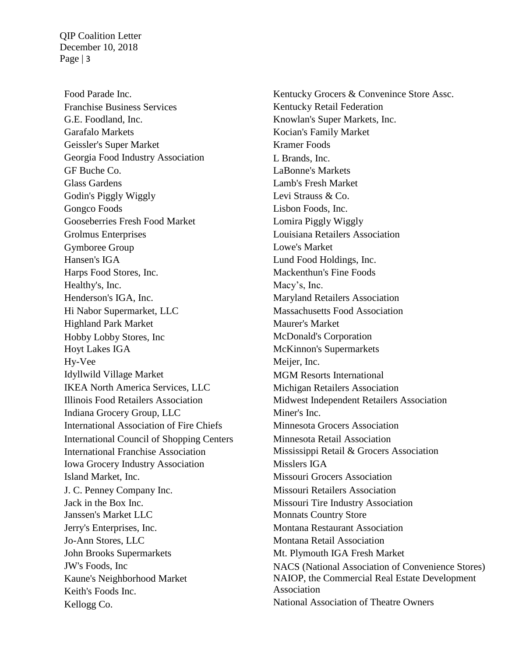Food Parade Inc. Franchise Business Services G.E. Foodland, Inc. Garafalo Markets Geissler's Super Market Georgia Food Industry Association GF Buche Co. Glass Gardens Godin's Piggly Wiggly Gongco Foods Gooseberries Fresh Food Market Grolmus Enterprises Gymboree Group Hansen's IGA Harps Food Stores, Inc. Healthy's, Inc. Henderson's IGA, Inc. Hi Nabor Supermarket, LLC Highland Park Market Hobby Lobby Stores, Inc Hoyt Lakes IGA Hy-Vee Idyllwild Village Market IKEA North America Services, LLC Illinois Food Retailers Association Indiana Grocery Group, LLC International Association of Fire Chiefs International Council of Shopping Centers International Franchise Association Iowa Grocery Industry Association Island Market, Inc. J. C. Penney Company Inc. Jack in the Box Inc. Janssen's Market LLC Jerry's Enterprises, Inc. Jo-Ann Stores, LLC John Brooks Supermarkets JW's Foods, Inc Kaune's Neighborhood Market Keith's Foods Inc. Kellogg Co.

Kentucky Grocers & Convenince Store Assc. Kentucky Retail Federation Knowlan's Super Markets, Inc. Kocian's Family Market Kramer Foods L Brands, Inc. LaBonne's Markets Lamb's Fresh Market Levi Strauss & Co. Lisbon Foods, Inc. Lomira Piggly Wiggly Louisiana Retailers Association Lowe's Market Lund Food Holdings, Inc. Mackenthun's Fine Foods Macy's, Inc. Maryland Retailers Association Massachusetts Food Association Maurer's Market McDonald's Corporation McKinnon's Supermarkets Meijer, Inc. MGM Resorts International Michigan Retailers Association Midwest Independent Retailers Association Miner's Inc. Minnesota Grocers Association Minnesota Retail Association Mississippi Retail & Grocers Association Misslers IGA Missouri Grocers Association Missouri Retailers Association Missouri Tire Industry Association Monnats Country Store Montana Restaurant Association Montana Retail Association Mt. Plymouth IGA Fresh Market NACS (National Association of Convenience Stores) NAIOP, the Commercial Real Estate Development Association National Association of Theatre Owners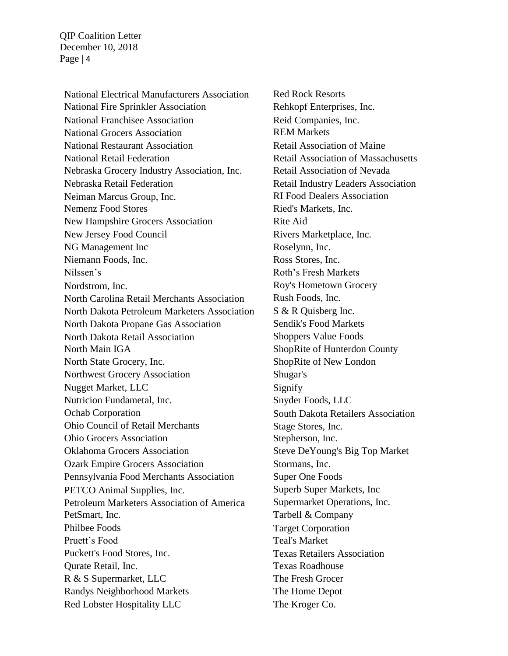National Electrical Manufacturers Association National Fire Sprinkler Association National Franchisee Association National Grocers Association National Restaurant Association National Retail Federation Nebraska Grocery Industry Association, Inc. Nebraska Retail Federation Neiman Marcus Group, Inc. Nemenz Food Stores New Hampshire Grocers Association New Jersey Food Council NG Management Inc Niemann Foods, Inc. Nilssen's Nordstrom, Inc. North Carolina Retail Merchants Association North Dakota Petroleum Marketers Association North Dakota Propane Gas Association North Dakota Retail Association North Main IGA North State Grocery, Inc. Northwest Grocery Association Nugget Market, LLC Nutricion Fundametal, Inc. Ochab Corporation Ohio Council of Retail Merchants Ohio Grocers Association Oklahoma Grocers Association Ozark Empire Grocers Association Pennsylvania Food Merchants Association PETCO Animal Supplies, Inc. Petroleum Marketers Association of America PetSmart, Inc. Philbee Foods Pruett's Food Puckett's Food Stores, Inc. Qurate Retail, Inc. R & S Supermarket, LLC Randys Neighborhood Markets Red Lobster Hospitality LLC

Red Rock Resorts Rehkopf Enterprises, Inc. Reid Companies, Inc. REM Markets Retail Association of Maine Retail Association of Massachusetts Retail Association of Nevada Retail Industry Leaders Association RI Food Dealers Association Ried's Markets, Inc. Rite Aid Rivers Marketplace, Inc. Roselynn, Inc. Ross Stores, Inc. Roth's Fresh Markets Roy's Hometown Grocery Rush Foods, Inc. S & R Quisberg Inc. Sendik's Food Markets Shoppers Value Foods ShopRite of Hunterdon County ShopRite of New London Shugar's Signify Snyder Foods, LLC South Dakota Retailers Association Stage Stores, Inc. Stepherson, Inc. Steve DeYoung's Big Top Market Stormans, Inc. Super One Foods Superb Super Markets, Inc Supermarket Operations, Inc. Tarbell & Company Target Corporation Teal's Market Texas Retailers Association Texas Roadhouse The Fresh Grocer The Home Depot The Kroger Co.